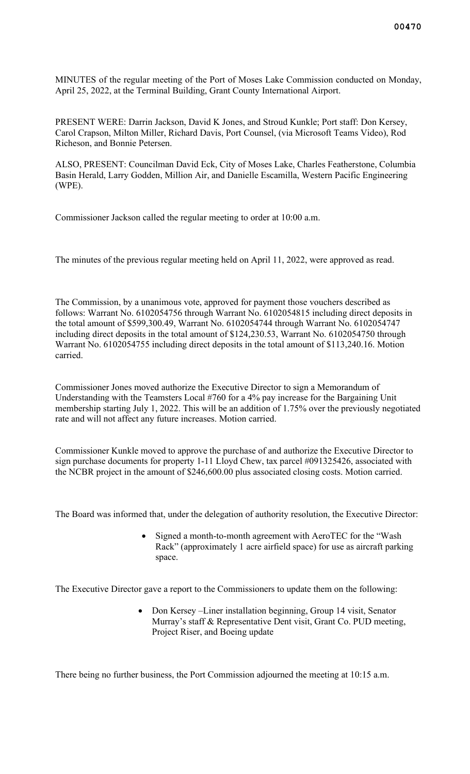MINUTES of the regular meeting of the Port of Moses Lake Commission conducted on Monday, April 25, 2022, at the Terminal Building, Grant County International Airport.

PRESENT WERE: Darrin Jackson, David K Jones, and Stroud Kunkle; Port staff: Don Kersey, Carol Crapson, Milton Miller, Richard Davis, Port Counsel, (via Microsoft Teams Video), Rod Richeson, and Bonnie Petersen.

ALSO, PRESENT: Councilman David Eck, City of Moses Lake, Charles Featherstone, Columbia Basin Herald, Larry Godden, Million Air, and Danielle Escamilla, Western Pacific Engineering (WPE).

Commissioner Jackson called the regular meeting to order at 10:00 a.m.

The minutes of the previous regular meeting held on April 11, 2022, were approved as read.

The Commission, by a unanimous vote, approved for payment those vouchers described as follows: Warrant No. 6102054756 through Warrant No. 6102054815 including direct deposits in the total amount of \$599,300.49, Warrant No. 6102054744 through Warrant No. 6102054747 including direct deposits in the total amount of \$124,230.53, Warrant No. 6102054750 through Warrant No. 6102054755 including direct deposits in the total amount of \$113,240.16. Motion carried.

Commissioner Jones moved authorize the Executive Director to sign a Memorandum of Understanding with the Teamsters Local #760 for a 4% pay increase for the Bargaining Unit membership starting July 1, 2022. This will be an addition of 1.75% over the previously negotiated rate and will not affect any future increases. Motion carried.

Commissioner Kunkle moved to approve the purchase of and authorize the Executive Director to sign purchase documents for property 1-11 Lloyd Chew, tax parcel #091325426, associated with the NCBR project in the amount of \$246,600.00 plus associated closing costs. Motion carried.

The Board was informed that, under the delegation of authority resolution, the Executive Director:

Signed a month-to-month agreement with AeroTEC for the "Wash" Rack" (approximately 1 acre airfield space) for use as aircraft parking space.

The Executive Director gave a report to the Commissioners to update them on the following:

• Don Kersey –Liner installation beginning, Group 14 visit, Senator Murray's staff & Representative Dent visit, Grant Co. PUD meeting, Project Riser, and Boeing update

There being no further business, the Port Commission adjourned the meeting at 10:15 a.m.